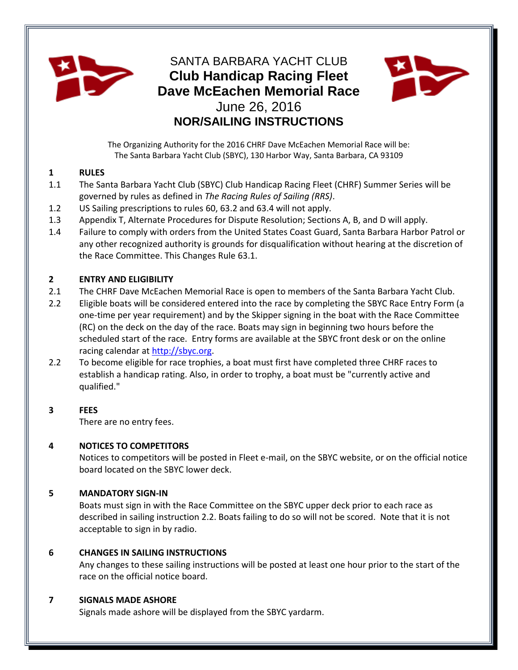

# SANTA BARBARA YACHT CLUB **Club Handicap Racing Fleet Dave McEachen Memorial Race** June 26, 2016 **NOR/SAILING INSTRUCTIONS**



The Organizing Authority for the 2016 CHRF Dave McEachen Memorial Race will be: The Santa Barbara Yacht Club (SBYC), 130 Harbor Way, Santa Barbara, CA 93109

# **1 RULES**

- 1.1 The Santa Barbara Yacht Club (SBYC) Club Handicap Racing Fleet (CHRF) Summer Series will be governed by rules as defined in *The Racing Rules of Sailing (RRS)*.
- 1.2 US Sailing prescriptions to rules 60, 63.2 and 63.4 will not apply.
- 1.3 Appendix T, Alternate Procedures for Dispute Resolution; Sections A, B, and D will apply.
- 1.4 Failure to comply with orders from the United States Coast Guard, Santa Barbara Harbor Patrol or any other recognized authority is grounds for disqualification without hearing at the discretion of the Race Committee. This Changes Rule 63.1.

# **2 ENTRY AND ELIGIBILITY**

- 2.1 The CHRF Dave McEachen Memorial Race is open to members of the Santa Barbara Yacht Club.
- 2.2 Eligible boats will be considered entered into the race by completing the SBYC Race Entry Form (a one-time per year requirement) and by the Skipper signing in the boat with the Race Committee (RC) on the deck on the day of the race. Boats may sign in beginning two hours before the scheduled start of the race. Entry forms are available at the SBYC front desk or on the online racing calendar a[t http://sbyc.org.](http://sbyc.org/)
- 2.2 To become eligible for race trophies, a boat must first have completed three CHRF races to establish a handicap rating. Also, in order to trophy, a boat must be "currently active and qualified."

# **3 FEES**

There are no entry fees.

# **4 NOTICES TO COMPETITORS**

Notices to competitors will be posted in Fleet e-mail, on the SBYC website, or on the official notice board located on the SBYC lower deck.

# **5 MANDATORY SIGN-IN**

Boats must sign in with the Race Committee on the SBYC upper deck prior to each race as described in sailing instruction 2.2. Boats failing to do so will not be scored. Note that it is not acceptable to sign in by radio.

# **6 CHANGES IN SAILING INSTRUCTIONS**

Any changes to these sailing instructions will be posted at least one hour prior to the start of the race on the official notice board.

# **7 SIGNALS MADE ASHORE**

Signals made ashore will be displayed from the SBYC yardarm.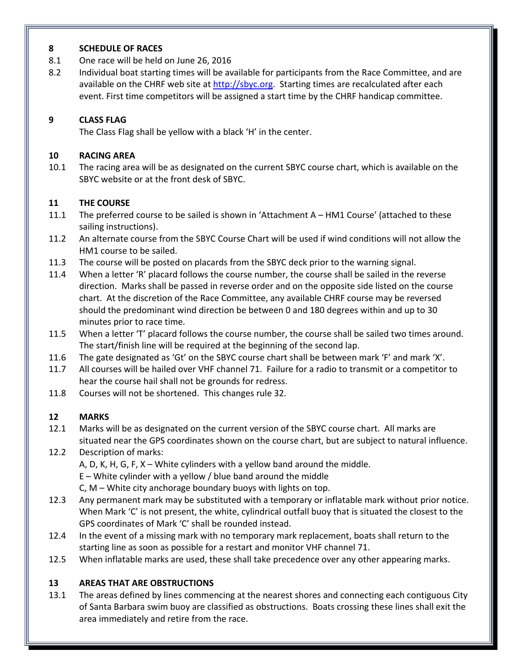# **8 SCHEDULE OF RACES**

- 8.1 One race will be held on June 26, 2016
- 8.2 Individual boat starting times will be available for participants from the Race Committee, and are available on the CHRF web site at [http://sbyc.org.](http://sbyc.org/) Starting times are recalculated after each event. First time competitors will be assigned a start time by the CHRF handicap committee.

# **9 CLASS FLAG**

The Class Flag shall be yellow with a black 'H' in the center.

# **10 RACING AREA**

10.1 The racing area will be as designated on the current SBYC course chart, which is available on the SBYC website or at the front desk of SBYC.

# **11 THE COURSE**

- 11.1 The preferred course to be sailed is shown in 'Attachment A HM1 Course' (attached to these sailing instructions).
- 11.2 An alternate course from the SBYC Course Chart will be used if wind conditions will not allow the HM1 course to be sailed.
- 11.3 The course will be posted on placards from the SBYC deck prior to the warning signal.
- 11.4 When a letter 'R' placard follows the course number, the course shall be sailed in the reverse direction. Marks shall be passed in reverse order and on the opposite side listed on the course chart. At the discretion of the Race Committee, any available CHRF course may be reversed should the predominant wind direction be between 0 and 180 degrees within and up to 30 minutes prior to race time.
- 11.5 When a letter 'T' placard follows the course number, the course shall be sailed two times around. The start/finish line will be required at the beginning of the second lap.
- 11.6 The gate designated as 'Gt' on the SBYC course chart shall be between mark 'F' and mark 'X'.
- 11.7 All courses will be hailed over VHF channel 71. Failure for a radio to transmit or a competitor to hear the course hail shall not be grounds for redress.
- 11.8 Courses will not be shortened. This changes rule 32.

# **12 MARKS**

12.1 Marks will be as designated on the current version of the SBYC course chart. All marks are situated near the GPS coordinates shown on the course chart, but are subject to natural influence.

# 12.2 Description of marks:

A, D, K, H, G, F, X – White cylinders with a yellow band around the middle.

E – White cylinder with a yellow / blue band around the middle

C, M – White city anchorage boundary buoys with lights on top.

- 12.3 Any permanent mark may be substituted with a temporary or inflatable mark without prior notice. When Mark 'C' is not present, the white, cylindrical outfall buoy that is situated the closest to the GPS coordinates of Mark 'C' shall be rounded instead.
- 12.4 In the event of a missing mark with no temporary mark replacement, boats shall return to the starting line as soon as possible for a restart and monitor VHF channel 71.
- 12.5 When inflatable marks are used, these shall take precedence over any other appearing marks.

# **13 AREAS THAT ARE OBSTRUCTIONS**

13.1 The areas defined by lines commencing at the nearest shores and connecting each contiguous City of Santa Barbara swim buoy are classified as obstructions. Boats crossing these lines shall exit the area immediately and retire from the race.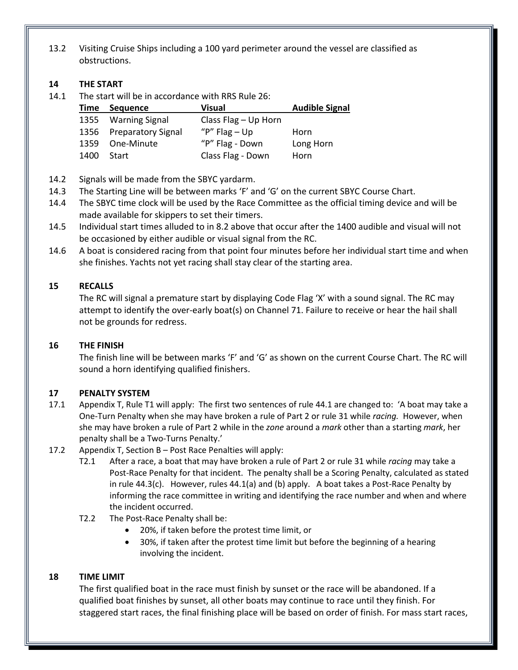13.2 Visiting Cruise Ships including a 100 yard perimeter around the vessel are classified as obstructions.

#### **14 THE START**

14.1 The start will be in accordance with RRS Rule 26:

| Time | <b>Sequence</b>         | <b>Visual</b>          | <b>Audible Signal</b> |
|------|-------------------------|------------------------|-----------------------|
| 1355 | <b>Warning Signal</b>   | Class Flag $-$ Up Horn |                       |
|      | 1356 Preparatory Signal | " $P$ " Flag – Up      | Horn                  |
| 1359 | One-Minute              | "P" Flag - Down        | Long Horn             |
| 1400 | Start                   | Class Flag - Down      | Horn                  |

14.2 Signals will be made from the SBYC yardarm.

- 14.3 The Starting Line will be between marks 'F' and 'G' on the current SBYC Course Chart.
- 14.4 The SBYC time clock will be used by the Race Committee as the official timing device and will be made available for skippers to set their timers.
- 14.5 Individual start times alluded to in 8.2 above that occur after the 1400 audible and visual will not be occasioned by either audible or visual signal from the RC.
- 14.6 A boat is considered racing from that point four minutes before her individual start time and when she finishes. Yachts not yet racing shall stay clear of the starting area.

# **15 RECALLS**

The RC will signal a premature start by displaying Code Flag 'X' with a sound signal. The RC may attempt to identify the over-early boat(s) on Channel 71. Failure to receive or hear the hail shall not be grounds for redress.

# **16 THE FINISH**

The finish line will be between marks 'F' and 'G' as shown on the current Course Chart. The RC will sound a horn identifying qualified finishers.

# **17 PENALTY SYSTEM**

- 17.1 Appendix T, Rule T1 will apply: The first two sentences of rule 44.1 are changed to: 'A boat may take a One-Turn Penalty when she may have broken a rule of Part 2 or rule 31 while *racing.* However, when she may have broken a rule of Part 2 while in the *zone* around a *mark* other than a starting *mark*, her penalty shall be a Two-Turns Penalty.'
- 17.2 Appendix T, Section B Post Race Penalties will apply:
	- T2.1 After a race, a boat that may have broken a rule of Part 2 or rule 31 while *racing* may take a Post-Race Penalty for that incident. The penalty shall be a Scoring Penalty, calculated as stated in rule 44.3(c). However, rules 44.1(a) and (b) apply. A boat takes a Post-Race Penalty by informing the race committee in writing and identifying the race number and when and where the incident occurred.
	- T2.2 The Post-Race Penalty shall be:
		- 20%, if taken before the protest time limit, or
		- 30%, if taken after the protest time limit but before the beginning of a hearing involving the incident.

# **18 TIME LIMIT**

The first qualified boat in the race must finish by sunset or the race will be abandoned. If a qualified boat finishes by sunset, all other boats may continue to race until they finish. For staggered start races, the final finishing place will be based on order of finish. For mass start races,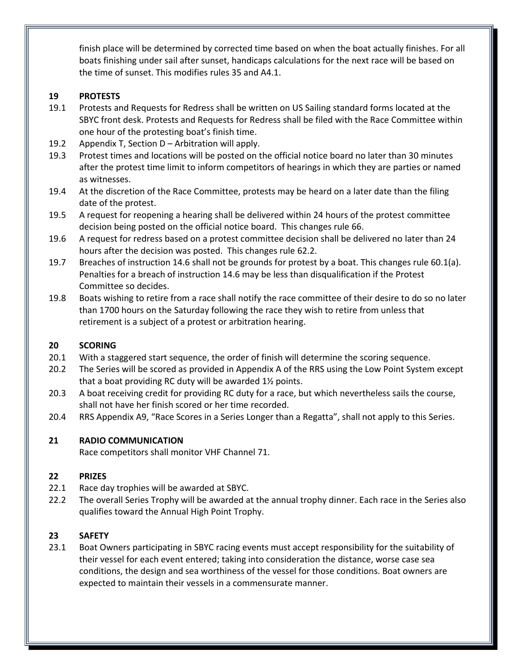finish place will be determined by corrected time based on when the boat actually finishes. For all boats finishing under sail after sunset, handicaps calculations for the next race will be based on the time of sunset. This modifies rules 35 and A4.1.

# **19 PROTESTS**

- 19.1 Protests and Requests for Redress shall be written on US Sailing standard forms located at the SBYC front desk. Protests and Requests for Redress shall be filed with the Race Committee within one hour of the protesting boat's finish time.
- 19.2 Appendix T, Section D Arbitration will apply.
- 19.3 Protest times and locations will be posted on the official notice board no later than 30 minutes after the protest time limit to inform competitors of hearings in which they are parties or named as witnesses.
- 19.4 At the discretion of the Race Committee, protests may be heard on a later date than the filing date of the protest.
- 19.5 A request for reopening a hearing shall be delivered within 24 hours of the protest committee decision being posted on the official notice board. This changes rule 66.
- 19.6 A request for redress based on a protest committee decision shall be delivered no later than 24 hours after the decision was posted. This changes rule 62.2.
- 19.7 Breaches of instruction 14.6 shall not be grounds for protest by a boat. This changes rule 60.1(a). Penalties for a breach of instruction 14.6 may be less than disqualification if the Protest Committee so decides.
- 19.8 Boats wishing to retire from a race shall notify the race committee of their desire to do so no later than 1700 hours on the Saturday following the race they wish to retire from unless that retirement is a subject of a protest or arbitration hearing.

# **20 SCORING**

- 20.1 With a staggered start sequence, the order of finish will determine the scoring sequence.
- 20.2 The Series will be scored as provided in Appendix A of the RRS using the Low Point System except that a boat providing RC duty will be awarded 1½ points.
- 20.3 A boat receiving credit for providing RC duty for a race, but which nevertheless sails the course, shall not have her finish scored or her time recorded.
- 20.4 RRS Appendix A9, "Race Scores in a Series Longer than a Regatta", shall not apply to this Series.

# **21 RADIO COMMUNICATION**

Race competitors shall monitor VHF Channel 71.

# **22 PRIZES**

- 22.1 Race day trophies will be awarded at SBYC.
- 22.2 The overall Series Trophy will be awarded at the annual trophy dinner. Each race in the Series also qualifies toward the Annual High Point Trophy.

# **23 SAFETY**

23.1 Boat Owners participating in SBYC racing events must accept responsibility for the suitability of their vessel for each event entered; taking into consideration the distance, worse case sea conditions, the design and sea worthiness of the vessel for those conditions. Boat owners are expected to maintain their vessels in a commensurate manner.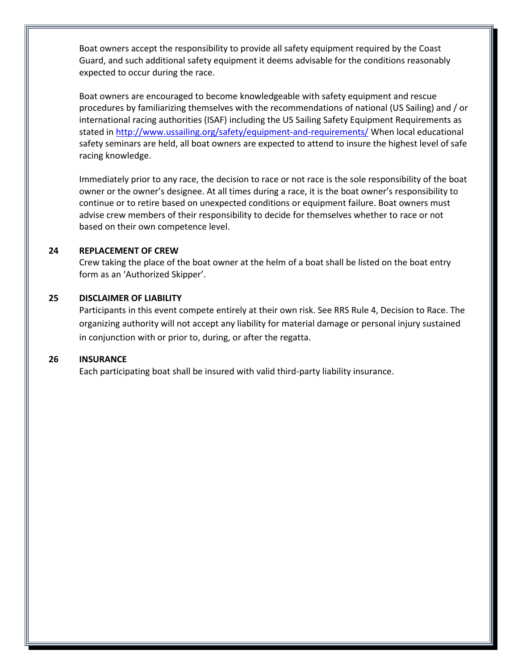Boat owners accept the responsibility to provide all safety equipment required by the Coast Guard, and such additional safety equipment it deems advisable for the conditions reasonably expected to occur during the race.

Boat owners are encouraged to become knowledgeable with safety equipment and rescue procedures by familiarizing themselves with the recommendations of national (US Sailing) and / or international racing authorities (ISAF) including the US Sailing Safety Equipment Requirements as stated in<http://www.ussailing.org/safety/equipment-and-requirements/> When local educational safety seminars are held, all boat owners are expected to attend to insure the highest level of safe racing knowledge.

Immediately prior to any race, the decision to race or not race is the sole responsibility of the boat owner or the owner's designee. At all times during a race, it is the boat owner's responsibility to continue or to retire based on unexpected conditions or equipment failure. Boat owners must advise crew members of their responsibility to decide for themselves whether to race or not based on their own competence level.

#### **24 REPLACEMENT OF CREW**

Crew taking the place of the boat owner at the helm of a boat shall be listed on the boat entry form as an 'Authorized Skipper'.

#### **25 DISCLAIMER OF LIABILITY**

Participants in this event compete entirely at their own risk. See RRS Rule 4, Decision to Race. The organizing authority will not accept any liability for material damage or personal injury sustained in conjunction with or prior to, during, or after the regatta.

#### **26 INSURANCE**

Each participating boat shall be insured with valid third-party liability insurance.